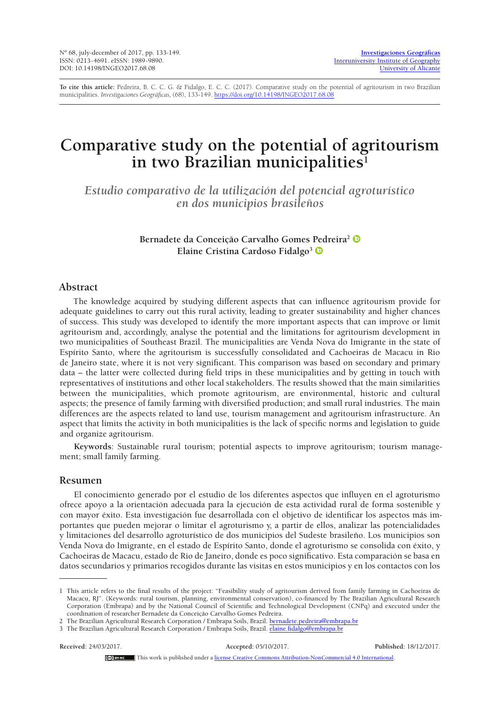**To cite this article:** Pedreira, B. C. C. G. & Fidalgo, E. C. C. (2017). Comparative study on the potential of agritourism in two Brazilian municipalities. *Investigaciones Geográficas,* (68), 133-149.<https://doi.org/10.14198/INGEO2017.68.08>

# **Comparative study on the potential of agritourism in two Brazilian municipalities1**

*Estudio comparativo de la utilización del potencial agroturístico en dos municipios brasileños*

> **Bernadete da Conceição Carvalho Gomes Pedreira2 Elaine Cristina Cardoso Fidalgo3**

# **Abstract**

The knowledge acquired by studying different aspects that can influence agritourism provide for adequate guidelines to carry out this rural activity, leading to greater sustainability and higher chances of success. This study was developed to identify the more important aspects that can improve or limit agritourism and, accordingly, analyse the potential and the limitations for agritourism development in two municipalities of Southeast Brazil. The municipalities are Venda Nova do Imigrante in the state of Espírito Santo, where the agritourism is successfully consolidated and Cachoeiras de Macacu in Rio de Janeiro state, where it is not very significant. This comparison was based on secondary and primary data – the latter were collected during field trips in these municipalities and by getting in touch with representatives of institutions and other local stakeholders. The results showed that the main similarities between the municipalities, which promote agritourism, are environmental, historic and cultural aspects; the presence of family farming with diversified production; and small rural industries. The main differences are the aspects related to land use, tourism management and agritourism infrastructure. An aspect that limits the activity in both municipalities is the lack of specific norms and legislation to guide and organize agritourism.

**Keywords**: Sustainable rural tourism; potential aspects to improve agritourism; tourism management; small family farming.

## **Resumen**

El conocimiento generado por el estudio de los diferentes aspectos que influyen en el agroturismo ofrece apoyo a la orientación adecuada para la ejecución de esta actividad rural de forma sostenible y con mayor éxito. Esta investigación fue desarrollada con el objetivo de identificar los aspectos más importantes que pueden mejorar o limitar el agroturismo y, a partir de ellos, analizar las potencialidades y limitaciones del desarrollo agroturístico de dos municipios del Sudeste brasileño. Los municipios son Venda Nova do Imigrante, en el estado de Espírito Santo, donde el agroturismo se consolida con éxito, y Cachoeiras de Macacu, estado de Rio de Janeiro, donde es poco significativo. Esta comparación se basa en datos secundarios y primarios recogidos durante las visitas en estos municipios y en los contactos con los

#### **Received:** 24/03/2017. **Accepted:** 05/10/2017. **Published:** 18/12/2017.

This work is published under a [license Creative Commons Attribution-NonCommercial 4.0 International.](http://creativecommons.org/licenses/by-nc/4.0/)

<sup>1</sup> This article refers to the final results of the project: "Feasibility study of agritourism derived from family farming in Cachoeiras de Macacu, RJ". (Keywords: rural tourism, planning, environmental conservation), co-financed by The Brazilian Agricultural Research Corporation (Embrapa) and by the National Council of Scientific and Technological Development (CNPq) and executed under the coordination of researcher Bernadete da Conceição Carvalho Gomes Pedreira.

<sup>2</sup> The Brazilian Agricultural Research Corporation / Embrapa Soils, Brazil. [bernadete.pedreira@embrapa.br](mailto:bernadete.pedreira@embrapa.br) 3 The Brazilian Agricultural Research Corporation / Embrapa Soils, Brazil. [elaine.fidalgo@embrapa.br](mailto:elaine.fidalgo@embrapa.br)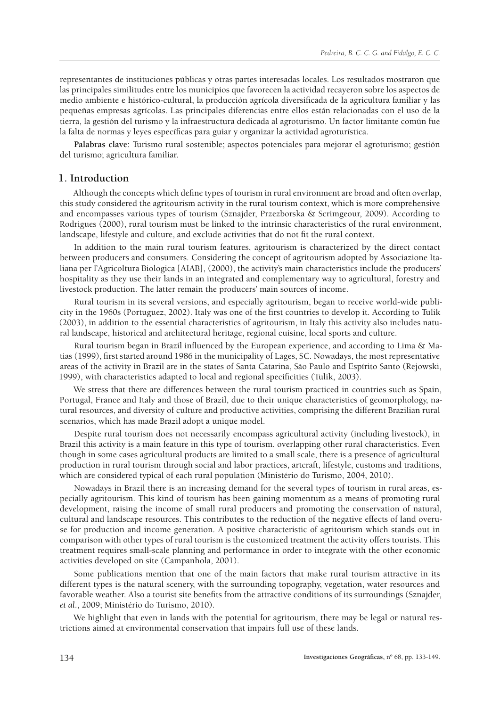representantes de instituciones públicas y otras partes interesadas locales. Los resultados mostraron que las principales similitudes entre los municipios que favorecen la actividad recayeron sobre los aspectos de medio ambiente e histórico-cultural, la producción agrícola diversificada de la agricultura familiar y las pequeñas empresas agrícolas. Las principales diferencias entre ellos están relacionadas con el uso de la tierra, la gestión del turismo y la infraestructura dedicada al agroturismo. Un factor limitante común fue la falta de normas y leyes específicas para guiar y organizar la actividad agroturística.

**Palabras clave**: Turismo rural sostenible; aspectos potenciales para mejorar el agroturismo; gestión del turismo; agricultura familiar.

# **1. Introduction**

Although the concepts which define types of tourism in rural environment are broad and often overlap, this study considered the agritourism activity in the rural tourism context, which is more comprehensive and encompasses various types of tourism (Sznajder, Przezborska & Scrimgeour, 2009). According to Rodrigues (2000), rural tourism must be linked to the intrinsic characteristics of the rural environment, landscape, lifestyle and culture, and exclude activities that do not fit the rural context.

In addition to the main rural tourism features, agritourism is characterized by the direct contact between producers and consumers. Considering the concept of agritourism adopted by Associazione Italiana per l'Agricoltura Biologica [AIAB], (2000), the activity's main characteristics include the producers' hospitality as they use their lands in an integrated and complementary way to agricultural, forestry and livestock production. The latter remain the producers' main sources of income.

Rural tourism in its several versions, and especially agritourism, began to receive world-wide publicity in the 1960s (Portuguez, 2002). Italy was one of the first countries to develop it. According to Tulik (2003), in addition to the essential characteristics of agritourism, in Italy this activity also includes natural landscape, historical and architectural heritage, regional cuisine, local sports and culture.

Rural tourism began in Brazil influenced by the European experience, and according to Lima & Matias (1999), first started around 1986 in the municipality of Lages, SC. Nowadays, the most representative areas of the activity in Brazil are in the states of Santa Catarina, São Paulo and Espírito Santo (Rejowski, 1999), with characteristics adapted to local and regional specificities (Tulik, 2003).

We stress that there are differences between the rural tourism practiced in countries such as Spain, Portugal, France and Italy and those of Brazil, due to their unique characteristics of geomorphology, natural resources, and diversity of culture and productive activities, comprising the different Brazilian rural scenarios, which has made Brazil adopt a unique model.

Despite rural tourism does not necessarily encompass agricultural activity (including livestock), in Brazil this activity is a main feature in this type of tourism, overlapping other rural characteristics. Even though in some cases agricultural products are limited to a small scale, there is a presence of agricultural production in rural tourism through social and labor practices, artcraft, lifestyle, customs and traditions, which are considered typical of each rural population (Ministério do Turismo, 2004, 2010).

Nowadays in Brazil there is an increasing demand for the several types of tourism in rural areas, especially agritourism. This kind of tourism has been gaining momentum as a means of promoting rural development, raising the income of small rural producers and promoting the conservation of natural, cultural and landscape resources. This contributes to the reduction of the negative effects of land overuse for production and income generation. A positive characteristic of agritourism which stands out in comparison with other types of rural tourism is the customized treatment the activity offers tourists. This treatment requires small-scale planning and performance in order to integrate with the other economic activities developed on site (Campanhola, 2001).

Some publications mention that one of the main factors that make rural tourism attractive in its different types is the natural scenery, with the surrounding topography, vegetation, water resources and favorable weather. Also a tourist site benefits from the attractive conditions of its surroundings (Sznajder, *et al*., 2009; Ministério do Turismo, 2010).

We highlight that even in lands with the potential for agritourism, there may be legal or natural restrictions aimed at environmental conservation that impairs full use of these lands.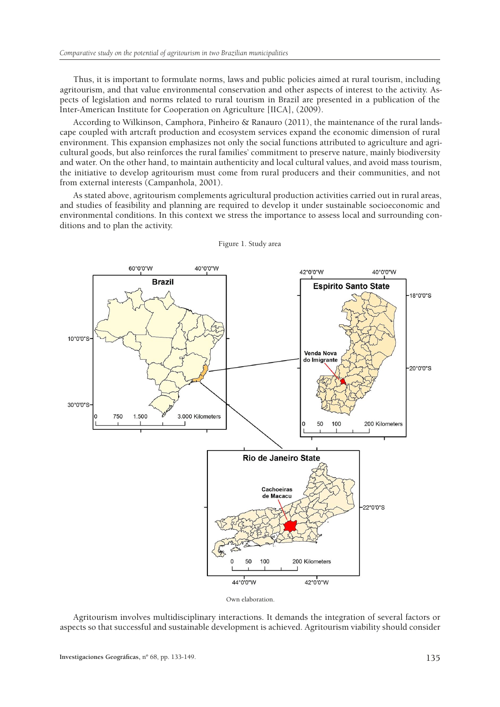Thus, it is important to formulate norms, laws and public policies aimed at rural tourism, including agritourism, and that value environmental conservation and other aspects of interest to the activity. Aspects of legislation and norms related to rural tourism in Brazil are presented in a publication of the Inter-American Institute for Cooperation on Agriculture [IICA], (2009).

According to Wilkinson, Camphora, Pinheiro & Ranauro (2011), the maintenance of the rural landscape coupled with artcraft production and ecosystem services expand the economic dimension of rural environment. This expansion emphasizes not only the social functions attributed to agriculture and agricultural goods, but also reinforces the rural families' commitment to preserve nature, mainly biodiversity and water. On the other hand, to maintain authenticity and local cultural values, and avoid mass tourism, the initiative to develop agritourism must come from rural producers and their communities, and not from external interests (Campanhola, 2001).

As stated above, agritourism complements agricultural production activities carried out in rural areas, and studies of feasibility and planning are required to develop it under sustainable socioeconomic and environmental conditions. In this context we stress the importance to assess local and surrounding conditions and to plan the activity.



Figure 1. Study area

Agritourism involves multidisciplinary interactions. It demands the integration of several factors or aspects so that successful and sustainable development is achieved. Agritourism viability should consider

Own elaboration.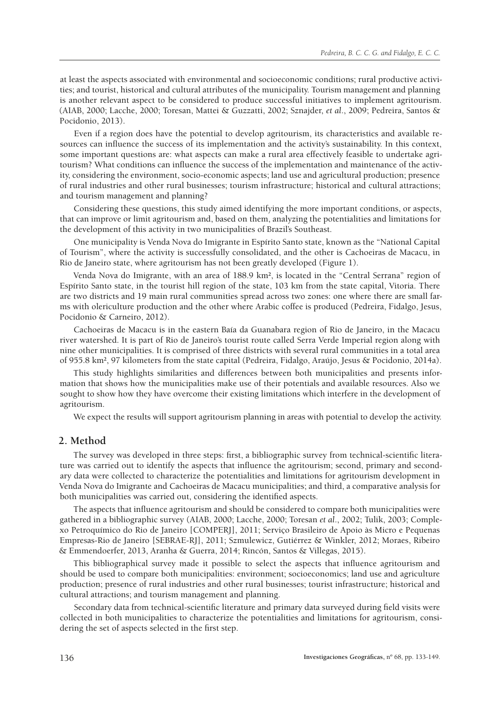at least the aspects associated with environmental and socioeconomic conditions; rural productive activities; and tourist, historical and cultural attributes of the municipality. Tourism management and planning is another relevant aspect to be considered to produce successful initiatives to implement agritourism. (AIAB, 2000; Lacche, 2000; Toresan, Mattei & Guzzatti, 2002; Sznajder, *et al*., 2009; Pedreira, Santos & Pocidonio, 2013).

Even if a region does have the potential to develop agritourism, its characteristics and available resources can influence the success of its implementation and the activity's sustainability. In this context, some important questions are: what aspects can make a rural area effectively feasible to undertake agritourism? What conditions can influence the success of the implementation and maintenance of the activity, considering the environment, socio-economic aspects; land use and agricultural production; presence of rural industries and other rural businesses; tourism infrastructure; historical and cultural attractions; and tourism management and planning?

Considering these questions, this study aimed identifying the more important conditions, or aspects, that can improve or limit agritourism and, based on them, analyzing the potentialities and limitations for the development of this activity in two municipalities of Brazil's Southeast.

One municipality is Venda Nova do Imigrante in Espírito Santo state, known as the "National Capital of Tourism", where the activity is successfully consolidated, and the other is Cachoeiras de Macacu, in Rio de Janeiro state, where agritourism has not been greatly developed (Figure 1).

Venda Nova do Imigrante, with an area of 188.9 km², is located in the "Central Serrana" region of Espírito Santo state, in the tourist hill region of the state, 103 km from the state capital, Vitoria. There are two districts and 19 main rural communities spread across two zones: one where there are small farms with olericulture production and the other where Arabic coffee is produced (Pedreira, Fidalgo, Jesus, Pocidonio & Carneiro, 2012).

Cachoeiras de Macacu is in the eastern Baía da Guanabara region of Rio de Janeiro, in the Macacu river watershed. It is part of Rio de Janeiro's tourist route called Serra Verde Imperial region along with nine other municipalities. It is comprised of three districts with several rural communities in a total area of 955.8 km², 97 kilometers from the state capital (Pedreira, Fidalgo, Araújo, Jesus & Pocidonio, 2014a).

This study highlights similarities and differences between both municipalities and presents information that shows how the municipalities make use of their potentials and available resources. Also we sought to show how they have overcome their existing limitations which interfere in the development of agritourism.

We expect the results will support agritourism planning in areas with potential to develop the activity.

# **2. Method**

The survey was developed in three steps: first, a bibliographic survey from technical-scientific literature was carried out to identify the aspects that influence the agritourism; second, primary and secondary data were collected to characterize the potentialities and limitations for agritourism development in Venda Nova do Imigrante and Cachoeiras de Macacu municipalities; and third, a comparative analysis for both municipalities was carried out, considering the identified aspects.

The aspects that influence agritourism and should be considered to compare both municipalities were gathered in a bibliographic survey (AIAB, 2000; Lacche, 2000; Toresan *et al*., 2002; Tulik, 2003; Complexo Petroquímico do Rio de Janeiro [COMPERJ], 2011; Serviço Brasileiro de Apoio às Micro e Pequenas Empresas-Rio de Janeiro [SEBRAE-RJ], 2011; Szmulewicz, Gutiérrez & Winkler, 2012; Moraes, Ribeiro & Emmendoerfer, 2013, Aranha & Guerra, 2014; Rincón, Santos & Villegas, 2015).

This bibliographical survey made it possible to select the aspects that influence agritourism and should be used to compare both municipalities: environment; socioeconomics; land use and agriculture production; presence of rural industries and other rural businesses; tourist infrastructure; historical and cultural attractions; and tourism management and planning.

Secondary data from technical-scientific literature and primary data surveyed during field visits were collected in both municipalities to characterize the potentialities and limitations for agritourism, considering the set of aspects selected in the first step.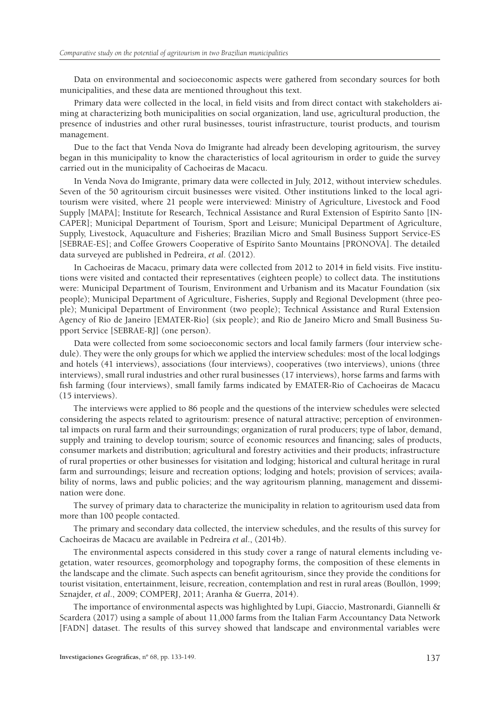Data on environmental and socioeconomic aspects were gathered from secondary sources for both municipalities, and these data are mentioned throughout this text.

Primary data were collected in the local, in field visits and from direct contact with stakeholders aiming at characterizing both municipalities on social organization, land use, agricultural production, the presence of industries and other rural businesses, tourist infrastructure, tourist products, and tourism management.

Due to the fact that Venda Nova do Imigrante had already been developing agritourism, the survey began in this municipality to know the characteristics of local agritourism in order to guide the survey carried out in the municipality of Cachoeiras de Macacu.

In Venda Nova do Imigrante, primary data were collected in July, 2012, without interview schedules. Seven of the 50 agritourism circuit businesses were visited. Other institutions linked to the local agritourism were visited, where 21 people were interviewed: Ministry of Agriculture, Livestock and Food Supply [MAPA]; Institute for Research, Technical Assistance and Rural Extension of Espírito Santo [IN-CAPER]; Municipal Department of Tourism, Sport and Leisure; Municipal Department of Agriculture, Supply, Livestock, Aquaculture and Fisheries; Brazilian Micro and Small Business Support Service-ES [SEBRAE-ES]; and Coffee Growers Cooperative of Espírito Santo Mountains [PRONOVA]. The detailed data surveyed are published in Pedreira, *et al*. (2012)*.*

In Cachoeiras de Macacu, primary data were collected from 2012 to 2014 in field visits. Five institutions were visited and contacted their representatives (eighteen people) to collect data. The institutions were: Municipal Department of Tourism, Environment and Urbanism and its Macatur Foundation (six people); Municipal Department of Agriculture, Fisheries, Supply and Regional Development (three people); Municipal Department of Environment (two people); Technical Assistance and Rural Extension Agency of Rio de Janeiro [EMATER-Rio] (six people); and Rio de Janeiro Micro and Small Business Support Service [SEBRAE-RJ] (one person).

Data were collected from some socioeconomic sectors and local family farmers (four interview schedule). They were the only groups for which we applied the interview schedules: most of the local lodgings and hotels (41 interviews), associations (four interviews), cooperatives (two interviews), unions (three interviews), small rural industries and other rural businesses (17 interviews), horse farms and farms with fish farming (four interviews), small family farms indicated by EMATER-Rio of Cachoeiras de Macacu (15 interviews).

The interviews were applied to 86 people and the questions of the interview schedules were selected considering the aspects related to agritourism: presence of natural attractive; perception of environmental impacts on rural farm and their surroundings; organization of rural producers; type of labor, demand, supply and training to develop tourism; source of economic resources and financing; sales of products, consumer markets and distribution; agricultural and forestry activities and their products; infrastructure of rural properties or other businesses for visitation and lodging; historical and cultural heritage in rural farm and surroundings; leisure and recreation options; lodging and hotels; provision of services; availability of norms, laws and public policies; and the way agritourism planning, management and dissemination were done.

The survey of primary data to characterize the municipality in relation to agritourism used data from more than 100 people contacted.

The primary and secondary data collected, the interview schedules, and the results of this survey for Cachoeiras de Macacu are available in Pedreira *et al*., (2014b).

The environmental aspects considered in this study cover a range of natural elements including vegetation, water resources, geomorphology and topography forms, the composition of these elements in the landscape and the climate. Such aspects can benefit agritourism, since they provide the conditions for tourist visitation, entertainment, leisure, recreation, contemplation and rest in rural areas (Boullón, 1999; Sznajder, *et al*., 2009; COMPERJ, 2011; Aranha & Guerra, 2014).

The importance of environmental aspects was highlighted by Lupi, Giaccio, Mastronardi, Giannelli & Scardera (2017) using a sample of about 11,000 farms from the Italian Farm Accountancy Data Network [FADN] dataset. The results of this survey showed that landscape and environmental variables were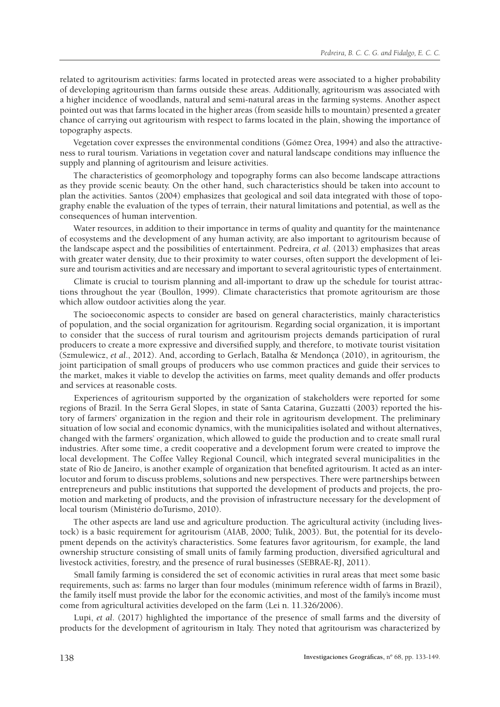related to agritourism activities: farms located in protected areas were associated to a higher probability of developing agritourism than farms outside these areas. Additionally, agritourism was associated with a higher incidence of woodlands, natural and semi-natural areas in the farming systems. Another aspect pointed out was that farms located in the higher areas (from seaside hills to mountain) presented a greater chance of carrying out agritourism with respect to farms located in the plain, showing the importance of topography aspects.

Vegetation cover expresses the environmental conditions (Gómez Orea, 1994) and also the attractiveness to rural tourism. Variations in vegetation cover and natural landscape conditions may influence the supply and planning of agritourism and leisure activities.

The characteristics of geomorphology and topography forms can also become landscape attractions as they provide scenic beauty. On the other hand, such characteristics should be taken into account to plan the activities. Santos (2004) emphasizes that geological and soil data integrated with those of topography enable the evaluation of the types of terrain, their natural limitations and potential, as well as the consequences of human intervention.

Water resources, in addition to their importance in terms of quality and quantity for the maintenance of ecosystems and the development of any human activity, are also important to agritourism because of the landscape aspect and the possibilities of entertainment. Pedreira, *et al*. (2013) emphasizes that areas with greater water density, due to their proximity to water courses, often support the development of leisure and tourism activities and are necessary and important to several agritouristic types of entertainment.

Climate is crucial to tourism planning and all-important to draw up the schedule for tourist attractions throughout the year (Boullón, 1999). Climate characteristics that promote agritourism are those which allow outdoor activities along the year.

The socioeconomic aspects to consider are based on general characteristics, mainly characteristics of population, and the social organization for agritourism. Regarding social organization, it is important to consider that the success of rural tourism and agritourism projects demands participation of rural producers to create a more expressive and diversified supply, and therefore, to motivate tourist visitation (Szmulewicz, *et al*., 2012). And, according to Gerlach, Batalha & Mendonça (2010), in agritourism, the joint participation of small groups of producers who use common practices and guide their services to the market, makes it viable to develop the activities on farms, meet quality demands and offer products and services at reasonable costs.

Experiences of agritourism supported by the organization of stakeholders were reported for some regions of Brazil. In the Serra Geral Slopes, in state of Santa Catarina, Guzzatti (2003) reported the history of farmers' organization in the region and their role in agritourism development. The preliminary situation of low social and economic dynamics, with the municipalities isolated and without alternatives, changed with the farmers' organization, which allowed to guide the production and to create small rural industries. After some time, a credit cooperative and a development forum were created to improve the local development. The Coffee Valley Regional Council, which integrated several municipalities in the state of Rio de Janeiro, is another example of organization that benefited agritourism. It acted as an interlocutor and forum to discuss problems, solutions and new perspectives. There were partnerships between entrepreneurs and public institutions that supported the development of products and projects, the promotion and marketing of products, and the provision of infrastructure necessary for the development of local tourism (Ministério doTurismo, 2010).

The other aspects are land use and agriculture production. The agricultural activity (including livestock) is a basic requirement for agritourism (AIAB, 2000; Tulik, 2003). But, the potential for its development depends on the activity's characteristics. Some features favor agritourism, for example, the land ownership structure consisting of small units of family farming production, diversified agricultural and livestock activities, forestry, and the presence of rural businesses (SEBRAE-RJ, 2011).

Small family farming is considered the set of economic activities in rural areas that meet some basic requirements, such as: farms no larger than four modules (minimum reference width of farms in Brazil), the family itself must provide the labor for the economic activities, and most of the family's income must come from agricultural activities developed on the farm (Lei n. 11.326/2006).

Lupi, *et al*. (2017) highlighted the importance of the presence of small farms and the diversity of products for the development of agritourism in Italy. They noted that agritourism was characterized by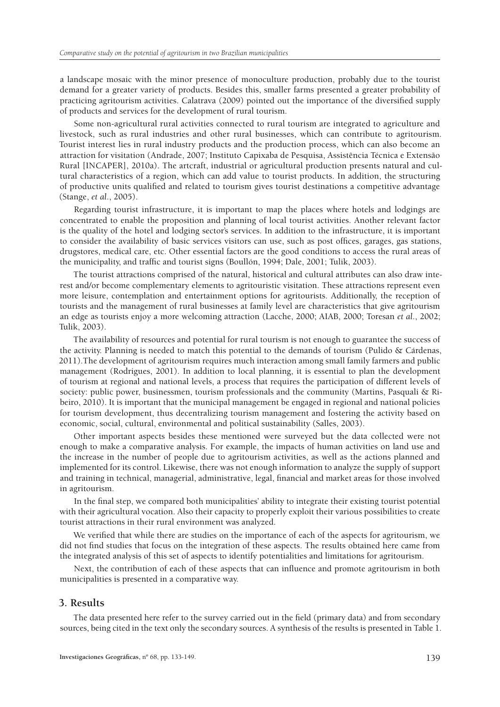a landscape mosaic with the minor presence of monoculture production, probably due to the tourist demand for a greater variety of products. Besides this, smaller farms presented a greater probability of practicing agritourism activities. Calatrava (2009) pointed out the importance of the diversified supply of products and services for the development of rural tourism.

Some non-agricultural rural activities connected to rural tourism are integrated to agriculture and livestock, such as rural industries and other rural businesses, which can contribute to agritourism. Tourist interest lies in rural industry products and the production process, which can also become an attraction for visitation (Andrade, 2007; Instituto Capixaba de Pesquisa, Assistência Técnica e Extensão Rural [INCAPER], 2010a). The artcraft, industrial or agricultural production presents natural and cultural characteristics of a region, which can add value to tourist products. In addition, the structuring of productive units qualified and related to tourism gives tourist destinations a competitive advantage (Stange, *et al*., 2005).

Regarding tourist infrastructure, it is important to map the places where hotels and lodgings are concentrated to enable the proposition and planning of local tourist activities. Another relevant factor is the quality of the hotel and lodging sector's services. In addition to the infrastructure, it is important to consider the availability of basic services visitors can use, such as post offices, garages, gas stations, drugstores, medical care, etc. Other essential factors are the good conditions to access the rural areas of the municipality, and traffic and tourist signs (Boullón, 1994; Dale, 2001; Tulik, 2003).

The tourist attractions comprised of the natural, historical and cultural attributes can also draw interest and/or become complementary elements to agritouristic visitation. These attractions represent even more leisure, contemplation and entertainment options for agritourists. Additionally, the reception of tourists and the management of rural businesses at family level are characteristics that give agritourism an edge as tourists enjoy a more welcoming attraction (Lacche, 2000; AIAB, 2000; Toresan *et al*., 2002; Tulik, 2003).

The availability of resources and potential for rural tourism is not enough to guarantee the success of the activity. Planning is needed to match this potential to the demands of tourism (Pulido & Cárdenas, 2011).The development of agritourism requires much interaction among small family farmers and public management (Rodrigues, 2001). In addition to local planning, it is essential to plan the development of tourism at regional and national levels, a process that requires the participation of different levels of society: public power, businessmen, tourism professionals and the community (Martins, Pasquali & Ribeiro, 2010). It is important that the municipal management be engaged in regional and national policies for tourism development, thus decentralizing tourism management and fostering the activity based on economic, social, cultural, environmental and political sustainability (Salles, 2003).

Other important aspects besides these mentioned were surveyed but the data collected were not enough to make a comparative analysis. For example, the impacts of human activities on land use and the increase in the number of people due to agritourism activities, as well as the actions planned and implemented for its control. Likewise, there was not enough information to analyze the supply of support and training in technical, managerial, administrative, legal, financial and market areas for those involved in agritourism.

In the final step, we compared both municipalities' ability to integrate their existing tourist potential with their agricultural vocation. Also their capacity to properly exploit their various possibilities to create tourist attractions in their rural environment was analyzed.

We verified that while there are studies on the importance of each of the aspects for agritourism, we did not find studies that focus on the integration of these aspects. The results obtained here came from the integrated analysis of this set of aspects to identify potentialities and limitations for agritourism.

Next, the contribution of each of these aspects that can influence and promote agritourism in both municipalities is presented in a comparative way.

# **3. Results**

The data presented here refer to the survey carried out in the field (primary data) and from secondary sources, being cited in the text only the secondary sources. A synthesis of the results is presented in Table 1.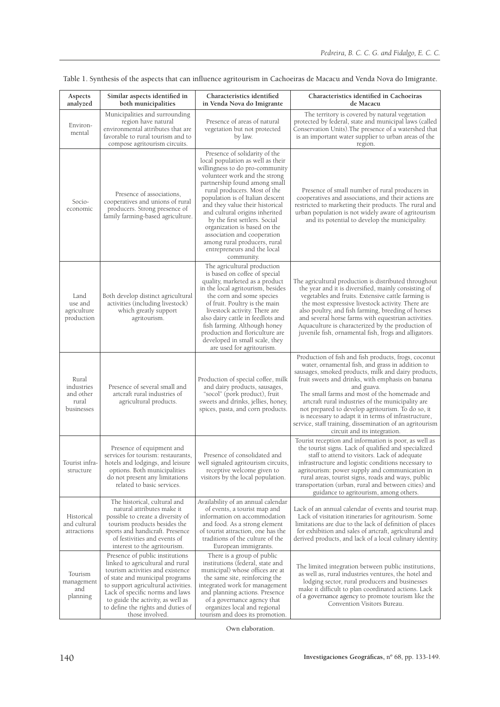| Aspects<br>analyzed                                     | Similar aspects identified in<br>both municipalities                                                                                                                                                                                                                                                               | Characteristics identified<br>in Venda Nova do Imigrante                                                                                                                                                                                                                                                                                                                                                                                                                                      | Characteristics identified in Cachoeiras<br>de Macacu                                                                                                                                                                                                                                                                                                                                                                                                                                                                                           |
|---------------------------------------------------------|--------------------------------------------------------------------------------------------------------------------------------------------------------------------------------------------------------------------------------------------------------------------------------------------------------------------|-----------------------------------------------------------------------------------------------------------------------------------------------------------------------------------------------------------------------------------------------------------------------------------------------------------------------------------------------------------------------------------------------------------------------------------------------------------------------------------------------|-------------------------------------------------------------------------------------------------------------------------------------------------------------------------------------------------------------------------------------------------------------------------------------------------------------------------------------------------------------------------------------------------------------------------------------------------------------------------------------------------------------------------------------------------|
| Environ-<br>mental                                      | Municipalities and surrounding<br>region have natural<br>environmental attributes that are<br>favorable to rural tourism and to<br>compose agritourism circuits.                                                                                                                                                   | Presence of areas of natural<br>vegetation but not protected<br>by law.                                                                                                                                                                                                                                                                                                                                                                                                                       | The territory is covered by natural vegetation<br>protected by federal, state and municipal laws (called<br>Conservation Units). The presence of a watershed that<br>is an important water supplier to urban areas of the<br>region.                                                                                                                                                                                                                                                                                                            |
| Socio-<br>economic                                      | Presence of associations,<br>cooperatives and unions of rural<br>producers. Strong presence of<br>family farming-based agriculture.                                                                                                                                                                                | Presence of solidarity of the<br>local population as well as their<br>willingness to do pro-community<br>volunteer work and the strong<br>partnership found among small<br>rural producers. Most of the<br>population is of Italian descent<br>and they value their historical<br>and cultural origins inherited<br>by the first settlers. Social<br>organization is based on the<br>association and cooperation<br>among rural producers, rural<br>entrepreneurs and the local<br>community. | Presence of small number of rural producers in<br>cooperatives and associations, and their actions are<br>restricted to marketing their products. The rural and<br>urban population is not widely aware of agritourism<br>and its potential to develop the municipality.                                                                                                                                                                                                                                                                        |
| Land<br>use and<br>agriculture<br>production            | Both develop distinct agricultural<br>activities (including livestock)<br>which greatly support<br>agritourism.                                                                                                                                                                                                    | The agricultural production<br>is based on coffee of special<br>quality, marketed as a product<br>in the local agritourism, besides<br>the corn and some species<br>of fruit. Poultry is the main<br>livestock activity. There are<br>also dairy cattle in feedlots and<br>fish farming. Although honey<br>production and floriculture are<br>developed in small scale, they<br>are used for agritourism.                                                                                     | The agricultural production is distributed throughout<br>the year and it is diversified, mainly consisting of<br>vegetables and fruits. Extensive cattle farming is<br>the most expressive livestock activity. There are<br>also poultry, and fish farming, breeding of horses<br>and several horse farms with equestrian activities.<br>Aquaculture is characterized by the production of<br>juvenile fish, ornamental fish, frogs and alligators.                                                                                             |
| Rural<br>industries<br>and other<br>rural<br>businesses | Presence of several small and<br>artcraft rural industries of<br>agricultural products.                                                                                                                                                                                                                            | Production of special coffee, milk<br>and dairy products, sausages,<br>"socol" (pork product), fruit<br>sweets and drinks, jellies, honey,<br>spices, pasta, and corn products.                                                                                                                                                                                                                                                                                                               | Production of fish and fish products, frogs, coconut<br>water, ornamental fish, and grass in addition to<br>sausages, smoked products, milk and dairy products,<br>fruit sweets and drinks, with emphasis on banana<br>and guava.<br>The small farms and most of the homemade and<br>artcraft rural industries of the municipality are<br>not prepared to develop agritourism. To do so, it<br>is necessary to adapt it in terms of infrastructure,<br>service, staff training, dissemination of an agritourism<br>circuit and its integration. |
| Tourist infra-<br>structure                             | Presence of equipment and<br>services for tourism: restaurants,<br>hotels and lodgings, and leisure<br>options. Both municipalities<br>do not present any limitations<br>related to basic services.                                                                                                                | Presence of consolidated and<br>well signaled agritourism circuits.<br>receptive welcome given to<br>visitors by the local population.                                                                                                                                                                                                                                                                                                                                                        | Tourist reception and information is poor, as well as<br>the tourist signs. Lack of qualified and specialized<br>staff to attend to visitors. Lack of adequate<br>infrastructure and logistic conditions necessary to<br>agritourism: power supply and communication in<br>rural areas, tourist signs, roads and ways, public<br>transportation (urban, rural and between cities) and<br>guidance to agritourism, among others.                                                                                                                 |
| Historical<br>and cultural<br>attractions               | The historical, cultural and<br>natural attributes make it<br>possible to create a diversity of<br>tourism products besides the<br>sports and handicraft. Presence<br>of festivities and events of<br>interest to the agritourism.                                                                                 | Availability of an annual calendar<br>of events, a tourist map and<br>information on accommodation<br>and food. As a strong element<br>of tourist attraction, one has the<br>traditions of the culture of the<br>European immigrants.                                                                                                                                                                                                                                                         | Lack of an annual calendar of events and tourist map.<br>Lack of visitation itineraries for agritourism. Some<br>limitations are due to the lack of definition of places<br>for exhibition and sales of artcraft, agricultural and<br>derived products, and lack of a local culinary identity.                                                                                                                                                                                                                                                  |
| Tourism<br>management<br>and<br>planning                | Presence of public institutions<br>linked to agricultural and rural<br>tourism activities and existence<br>of state and municipal programs<br>to support agricultural activities.<br>Lack of specific norms and laws<br>to guide the activity, as well as<br>to define the rights and duties of<br>those involved. | There is a group of public<br>institutions (federal, state and<br>municipal) whose offices are at<br>the same site, reinforcing the<br>integrated work for management<br>and planning actions. Presence<br>of a governance agency that<br>organizes local and regional<br>tourism and does its promotion.                                                                                                                                                                                     | The limited integration between public institutions,<br>as well as, rural industries ventures, the hotel and<br>lodging sector, rural producers and businesses<br>make it difficult to plan coordinated actions. Lack<br>of a governance agency to promote tourism like the<br>Convention Visitors Bureau.                                                                                                                                                                                                                                      |

Table 1. Synthesis of the aspects that can influence agritourism in Cachoeiras de Macacu and Venda Nova do Imigrante.

Own elaboration.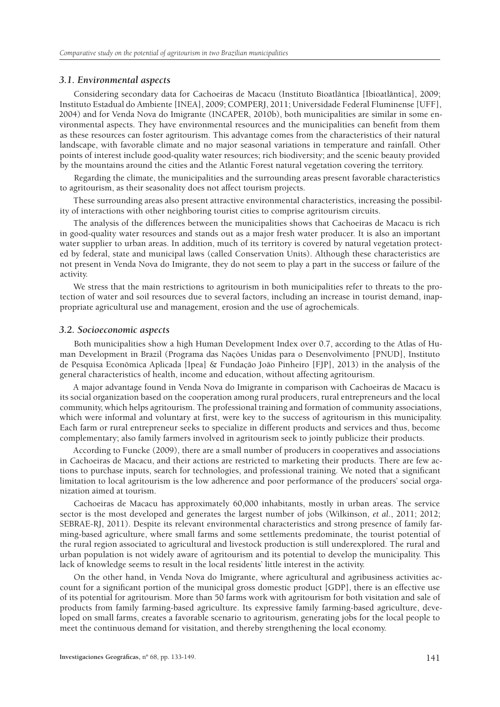## *3.1. Environmental aspects*

Considering secondary data for Cachoeiras de Macacu (Instituto Bioatlântica [Ibioatlântica], 2009; Instituto Estadual do Ambiente [INEA], 2009; COMPERJ, 2011; Universidade Federal Fluminense [UFF], 2004) and for Venda Nova do Imigrante (INCAPER, 2010b), both municipalities are similar in some environmental aspects. They have environmental resources and the municipalities can benefit from them as these resources can foster agritourism. This advantage comes from the characteristics of their natural landscape, with favorable climate and no major seasonal variations in temperature and rainfall. Other points of interest include good-quality water resources; rich biodiversity; and the scenic beauty provided by the mountains around the cities and the Atlantic Forest natural vegetation covering the territory.

Regarding the climate, the municipalities and the surrounding areas present favorable characteristics to agritourism, as their seasonality does not affect tourism projects.

These surrounding areas also present attractive environmental characteristics, increasing the possibility of interactions with other neighboring tourist cities to comprise agritourism circuits.

The analysis of the differences between the municipalities shows that Cachoeiras de Macacu is rich in good-quality water resources and stands out as a major fresh water producer. It is also an important water supplier to urban areas. In addition, much of its territory is covered by natural vegetation protected by federal, state and municipal laws (called Conservation Units). Although these characteristics are not present in Venda Nova do Imigrante, they do not seem to play a part in the success or failure of the activity.

We stress that the main restrictions to agritourism in both municipalities refer to threats to the protection of water and soil resources due to several factors, including an increase in tourist demand, inappropriate agricultural use and management, erosion and the use of agrochemicals.

## *3.2. Socioeconomic aspects*

Both municipalities show a high Human Development Index over 0.7, according to the Atlas of Human Development in Brazil (Programa das Nações Unidas para o Desenvolvimento [PNUD], Instituto de Pesquisa Econômica Aplicada [Ipea] & Fundação João Pinheiro [FJP], 2013) in the analysis of the general characteristics of health, income and education, without affecting agritourism.

A major advantage found in Venda Nova do Imigrante in comparison with Cachoeiras de Macacu is its social organization based on the cooperation among rural producers, rural entrepreneurs and the local community, which helps agritourism. The professional training and formation of community associations, which were informal and voluntary at first, were key to the success of agritourism in this municipality. Each farm or rural entrepreneur seeks to specialize in different products and services and thus, become complementary; also family farmers involved in agritourism seek to jointly publicize their products.

According to Funcke (2009), there are a small number of producers in cooperatives and associations in Cachoeiras de Macacu, and their actions are restricted to marketing their products. There are few actions to purchase inputs, search for technologies, and professional training. We noted that a significant limitation to local agritourism is the low adherence and poor performance of the producers' social organization aimed at tourism.

Cachoeiras de Macacu has approximately 60,000 inhabitants, mostly in urban areas. The service sector is the most developed and generates the largest number of jobs (Wilkinson, *et al*., 2011; 2012; SEBRAE-RJ, 2011). Despite its relevant environmental characteristics and strong presence of family farming-based agriculture, where small farms and some settlements predominate, the tourist potential of the rural region associated to agricultural and livestock production is still underexplored. The rural and urban population is not widely aware of agritourism and its potential to develop the municipality. This lack of knowledge seems to result in the local residents' little interest in the activity.

On the other hand, in Venda Nova do Imigrante, where agricultural and agribusiness activities account for a significant portion of the municipal gross domestic product [GDP], there is an effective use of its potential for agritourism. More than 50 farms work with agritourism for both visitation and sale of products from family farming-based agriculture. Its expressive family farming-based agriculture, developed on small farms, creates a favorable scenario to agritourism, generating jobs for the local people to meet the continuous demand for visitation, and thereby strengthening the local economy.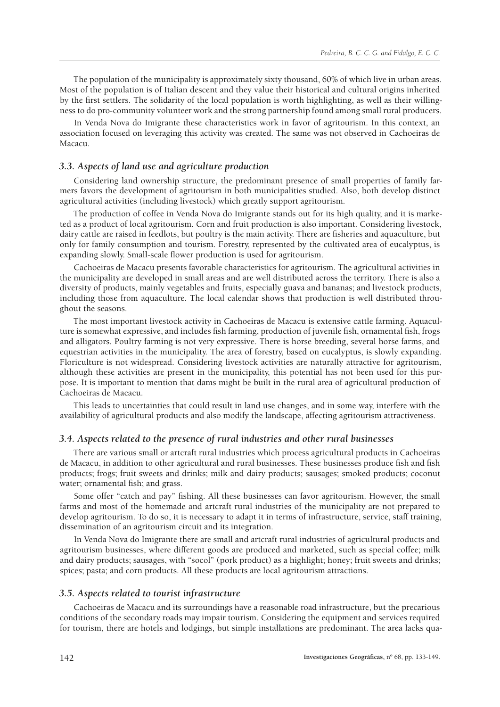The population of the municipality is approximately sixty thousand, 60% of which live in urban areas. Most of the population is of Italian descent and they value their historical and cultural origins inherited by the first settlers. The solidarity of the local population is worth highlighting, as well as their willingness to do pro-community volunteer work and the strong partnership found among small rural producers.

In Venda Nova do Imigrante these characteristics work in favor of agritourism. In this context, an association focused on leveraging this activity was created. The same was not observed in Cachoeiras de Macacu.

## *3.3. Aspects of land use and agriculture production*

Considering land ownership structure, the predominant presence of small properties of family farmers favors the development of agritourism in both municipalities studied. Also, both develop distinct agricultural activities (including livestock) which greatly support agritourism.

The production of coffee in Venda Nova do Imigrante stands out for its high quality, and it is marketed as a product of local agritourism. Corn and fruit production is also important. Considering livestock, dairy cattle are raised in feedlots, but poultry is the main activity. There are fisheries and aquaculture, but only for family consumption and tourism. Forestry, represented by the cultivated area of eucalyptus, is expanding slowly. Small-scale flower production is used for agritourism.

Cachoeiras de Macacu presents favorable characteristics for agritourism. The agricultural activities in the municipality are developed in small areas and are well distributed across the territory. There is also a diversity of products, mainly vegetables and fruits, especially guava and bananas; and livestock products, including those from aquaculture. The local calendar shows that production is well distributed throughout the seasons.

The most important livestock activity in Cachoeiras de Macacu is extensive cattle farming. Aquaculture is somewhat expressive, and includes fish farming, production of juvenile fish, ornamental fish, frogs and alligators. Poultry farming is not very expressive. There is horse breeding, several horse farms, and equestrian activities in the municipality. The area of forestry, based on eucalyptus, is slowly expanding. Floriculture is not widespread. Considering livestock activities are naturally attractive for agritourism, although these activities are present in the municipality, this potential has not been used for this purpose. It is important to mention that dams might be built in the rural area of agricultural production of Cachoeiras de Macacu.

This leads to uncertainties that could result in land use changes, and in some way, interfere with the availability of agricultural products and also modify the landscape, affecting agritourism attractiveness.

## *3.4. Aspects related to the presence of rural industries and other rural businesses*

There are various small or artcraft rural industries which process agricultural products in Cachoeiras de Macacu, in addition to other agricultural and rural businesses. These businesses produce fish and fish products; frogs; fruit sweets and drinks; milk and dairy products; sausages; smoked products; coconut water; ornamental fish; and grass.

Some offer "catch and pay" fishing. All these businesses can favor agritourism. However, the small farms and most of the homemade and artcraft rural industries of the municipality are not prepared to develop agritourism. To do so, it is necessary to adapt it in terms of infrastructure, service, staff training, dissemination of an agritourism circuit and its integration.

In Venda Nova do Imigrante there are small and artcraft rural industries of agricultural products and agritourism businesses, where different goods are produced and marketed, such as special coffee; milk and dairy products; sausages, with "socol" (pork product) as a highlight; honey; fruit sweets and drinks; spices; pasta; and corn products. All these products are local agritourism attractions.

## *3.5. Aspects related to tourist infrastructure*

Cachoeiras de Macacu and its surroundings have a reasonable road infrastructure, but the precarious conditions of the secondary roads may impair tourism. Considering the equipment and services required for tourism, there are hotels and lodgings, but simple installations are predominant. The area lacks qua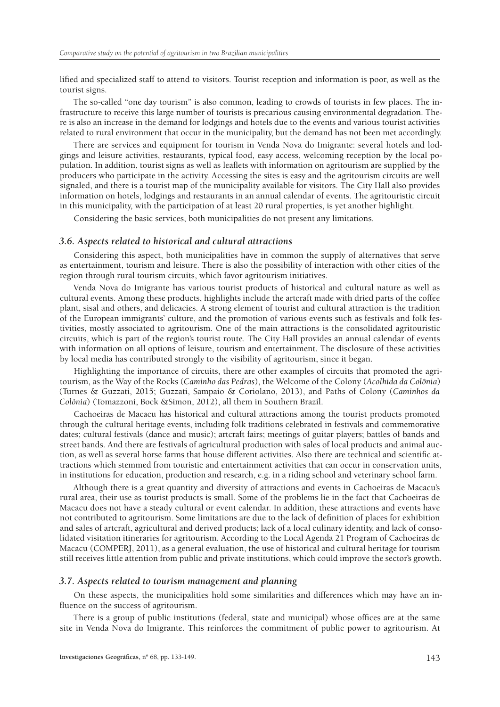lified and specialized staff to attend to visitors. Tourist reception and information is poor, as well as the tourist signs.

The so-called "one day tourism" is also common, leading to crowds of tourists in few places. The infrastructure to receive this large number of tourists is precarious causing environmental degradation. There is also an increase in the demand for lodgings and hotels due to the events and various tourist activities related to rural environment that occur in the municipality, but the demand has not been met accordingly.

There are services and equipment for tourism in Venda Nova do Imigrante: several hotels and lodgings and leisure activities, restaurants, typical food, easy access, welcoming reception by the local population. In addition, tourist signs as well as leaflets with information on agritourism are supplied by the producers who participate in the activity. Accessing the sites is easy and the agritourism circuits are well signaled, and there is a tourist map of the municipality available for visitors. The City Hall also provides information on hotels, lodgings and restaurants in an annual calendar of events. The agritouristic circuit in this municipality, with the participation of at least 20 rural properties, is yet another highlight.

Considering the basic services, both municipalities do not present any limitations.

## *3.6. Aspects related to historical and cultural attractions*

Considering this aspect, both municipalities have in common the supply of alternatives that serve as entertainment, tourism and leisure. There is also the possibility of interaction with other cities of the region through rural tourism circuits, which favor agritourism initiatives.

Venda Nova do Imigrante has various tourist products of historical and cultural nature as well as cultural events. Among these products, highlights include the artcraft made with dried parts of the coffee plant, sisal and others, and delicacies. A strong element of tourist and cultural attraction is the tradition of the European immigrants' culture, and the promotion of various events such as festivals and folk festivities, mostly associated to agritourism. One of the main attractions is the consolidated agritouristic circuits, which is part of the region's tourist route. The City Hall provides an annual calendar of events with information on all options of leisure, tourism and entertainment. The disclosure of these activities by local media has contributed strongly to the visibility of agritourism, since it began.

Highlighting the importance of circuits, there are other examples of circuits that promoted the agritourism, as the Way of the Rocks (*Caminho das Pedras*), the Welcome of the Colony (*Acolhida da Colônia*) (Turnes & Guzzati, 2015; Guzzati, Sampaio & Coriolano, 2013), and Paths of Colony (*Caminhos da Colônia*) (Tomazzoni, Bock &Simon, 2012), all them in Southern Brazil.

Cachoeiras de Macacu has historical and cultural attractions among the tourist products promoted through the cultural heritage events, including folk traditions celebrated in festivals and commemorative dates; cultural festivals (dance and music); artcraft fairs; meetings of guitar players; battles of bands and street bands. And there are festivals of agricultural production with sales of local products and animal auction, as well as several horse farms that house different activities. Also there are technical and scientific attractions which stemmed from touristic and entertainment activities that can occur in conservation units, in institutions for education, production and research, e.g. in a riding school and veterinary school farm.

Although there is a great quantity and diversity of attractions and events in Cachoeiras de Macacu's rural area, their use as tourist products is small. Some of the problems lie in the fact that Cachoeiras de Macacu does not have a steady cultural or event calendar. In addition, these attractions and events have not contributed to agritourism. Some limitations are due to the lack of definition of places for exhibition and sales of artcraft, agricultural and derived products; lack of a local culinary identity, and lack of consolidated visitation itineraries for agritourism. According to the Local Agenda 21 Program of Cachoeiras de Macacu (COMPERJ, 2011), as a general evaluation, the use of historical and cultural heritage for tourism still receives little attention from public and private institutions, which could improve the sector's growth.

#### *3.7. Aspects related to tourism management and planning*

On these aspects, the municipalities hold some similarities and differences which may have an influence on the success of agritourism.

There is a group of public institutions (federal, state and municipal) whose offices are at the same site in Venda Nova do Imigrante. This reinforces the commitment of public power to agritourism. At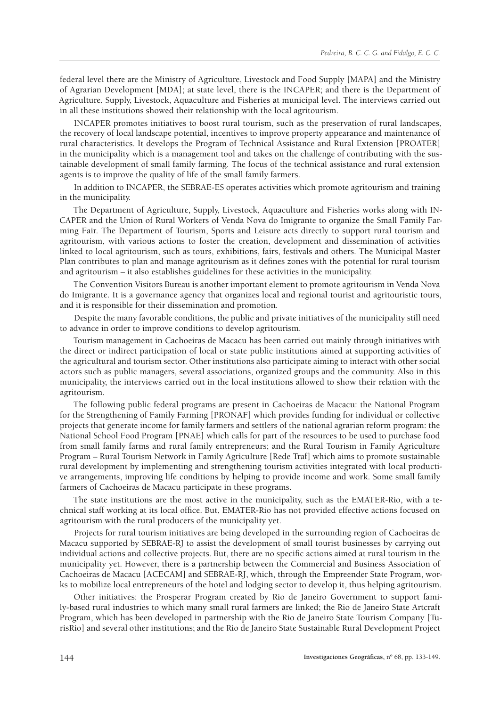federal level there are the Ministry of Agriculture, Livestock and Food Supply [MAPA] and the Ministry of Agrarian Development [MDA]; at state level, there is the INCAPER; and there is the Department of Agriculture, Supply, Livestock, Aquaculture and Fisheries at municipal level. The interviews carried out in all these institutions showed their relationship with the local agritourism.

INCAPER promotes initiatives to boost rural tourism, such as the preservation of rural landscapes, the recovery of local landscape potential, incentives to improve property appearance and maintenance of rural characteristics. It develops the Program of Technical Assistance and Rural Extension [PROATER] in the municipality which is a management tool and takes on the challenge of contributing with the sustainable development of small family farming. The focus of the technical assistance and rural extension agents is to improve the quality of life of the small family farmers.

In addition to INCAPER, the SEBRAE-ES operates activities which promote agritourism and training in the municipality.

The Department of Agriculture, Supply, Livestock, Aquaculture and Fisheries works along with IN-CAPER and the Union of Rural Workers of Venda Nova do Imigrante to organize the Small Family Farming Fair. The Department of Tourism, Sports and Leisure acts directly to support rural tourism and agritourism, with various actions to foster the creation, development and dissemination of activities linked to local agritourism, such as tours, exhibitions, fairs, festivals and others. The Municipal Master Plan contributes to plan and manage agritourism as it defines zones with the potential for rural tourism and agritourism – it also establishes guidelines for these activities in the municipality.

The Convention Visitors Bureau is another important element to promote agritourism in Venda Nova do Imigrante. It is a governance agency that organizes local and regional tourist and agritouristic tours, and it is responsible for their dissemination and promotion.

Despite the many favorable conditions, the public and private initiatives of the municipality still need to advance in order to improve conditions to develop agritourism.

Tourism management in Cachoeiras de Macacu has been carried out mainly through initiatives with the direct or indirect participation of local or state public institutions aimed at supporting activities of the agricultural and tourism sector. Other institutions also participate aiming to interact with other social actors such as public managers, several associations, organized groups and the community. Also in this municipality, the interviews carried out in the local institutions allowed to show their relation with the agritourism.

The following public federal programs are present in Cachoeiras de Macacu: the National Program for the Strengthening of Family Farming [PRONAF] which provides funding for individual or collective projects that generate income for family farmers and settlers of the national agrarian reform program: the National School Food Program [PNAE] which calls for part of the resources to be used to purchase food from small family farms and rural family entrepreneurs; and the Rural Tourism in Family Agriculture Program – Rural Tourism Network in Family Agriculture [Rede Traf] which aims to promote sustainable rural development by implementing and strengthening tourism activities integrated with local productive arrangements, improving life conditions by helping to provide income and work. Some small family farmers of Cachoeiras de Macacu participate in these programs.

The state institutions are the most active in the municipality, such as the EMATER-Rio, with a technical staff working at its local office. But, EMATER-Rio has not provided effective actions focused on agritourism with the rural producers of the municipality yet.

Projects for rural tourism initiatives are being developed in the surrounding region of Cachoeiras de Macacu supported by SEBRAE-RJ to assist the development of small tourist businesses by carrying out individual actions and collective projects. But, there are no specific actions aimed at rural tourism in the municipality yet. However, there is a partnership between the Commercial and Business Association of Cachoeiras de Macacu [ACECAM] and SEBRAE-RJ, which, through the Empreender State Program, works to mobilize local entrepreneurs of the hotel and lodging sector to develop it, thus helping agritourism.

Other initiatives: the Prosperar Program created by Rio de Janeiro Government to support family-based rural industries to which many small rural farmers are linked; the Rio de Janeiro State Artcraft Program, which has been developed in partnership with the Rio de Janeiro State Tourism Company [TurisRio] and several other institutions; and the Rio de Janeiro State Sustainable Rural Development Project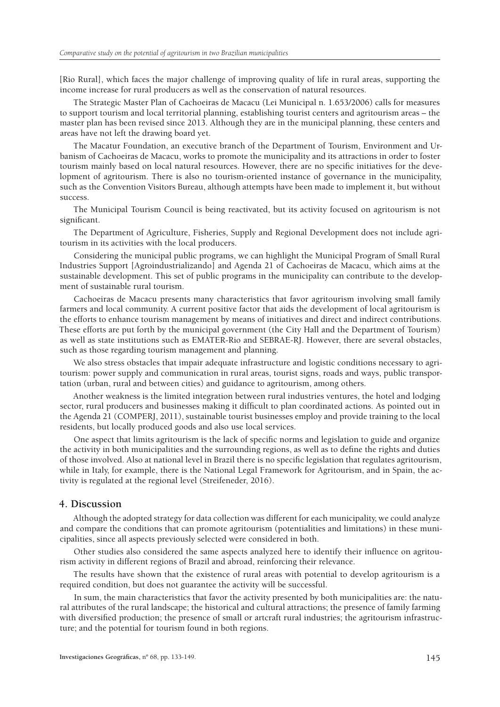[Rio Rural], which faces the major challenge of improving quality of life in rural areas, supporting the income increase for rural producers as well as the conservation of natural resources.

The Strategic Master Plan of Cachoeiras de Macacu (Lei Municipal n. 1.653/2006) calls for measures to support tourism and local territorial planning, establishing tourist centers and agritourism areas – the master plan has been revised since 2013. Although they are in the municipal planning, these centers and areas have not left the drawing board yet.

The Macatur Foundation, an executive branch of the Department of Tourism, Environment and Urbanism of Cachoeiras de Macacu, works to promote the municipality and its attractions in order to foster tourism mainly based on local natural resources. However, there are no specific initiatives for the development of agritourism. There is also no tourism-oriented instance of governance in the municipality, such as the Convention Visitors Bureau, although attempts have been made to implement it, but without success.

The Municipal Tourism Council is being reactivated, but its activity focused on agritourism is not significant.

The Department of Agriculture, Fisheries, Supply and Regional Development does not include agritourism in its activities with the local producers.

Considering the municipal public programs, we can highlight the Municipal Program of Small Rural Industries Support [Agroindustrializando] and Agenda 21 of Cachoeiras de Macacu, which aims at the sustainable development. This set of public programs in the municipality can contribute to the development of sustainable rural tourism.

Cachoeiras de Macacu presents many characteristics that favor agritourism involving small family farmers and local community. A current positive factor that aids the development of local agritourism is the efforts to enhance tourism management by means of initiatives and direct and indirect contributions. These efforts are put forth by the municipal government (the City Hall and the Department of Tourism) as well as state institutions such as EMATER-Rio and SEBRAE-RJ. However, there are several obstacles, such as those regarding tourism management and planning.

We also stress obstacles that impair adequate infrastructure and logistic conditions necessary to agritourism: power supply and communication in rural areas, tourist signs, roads and ways, public transportation (urban, rural and between cities) and guidance to agritourism, among others.

Another weakness is the limited integration between rural industries ventures, the hotel and lodging sector, rural producers and businesses making it difficult to plan coordinated actions. As pointed out in the Agenda 21 (COMPERJ, 2011), sustainable tourist businesses employ and provide training to the local residents, but locally produced goods and also use local services.

One aspect that limits agritourism is the lack of specific norms and legislation to guide and organize the activity in both municipalities and the surrounding regions, as well as to define the rights and duties of those involved. Also at national level in Brazil there is no specific legislation that regulates agritourism, while in Italy, for example, there is the National Legal Framework for Agritourism, and in Spain, the activity is regulated at the regional level (Streifeneder, 2016).

#### **4. Discussion**

Although the adopted strategy for data collection was different for each municipality, we could analyze and compare the conditions that can promote agritourism (potentialities and limitations) in these municipalities, since all aspects previously selected were considered in both.

Other studies also considered the same aspects analyzed here to identify their influence on agritourism activity in different regions of Brazil and abroad, reinforcing their relevance.

The results have shown that the existence of rural areas with potential to develop agritourism is a required condition, but does not guarantee the activity will be successful.

In sum, the main characteristics that favor the activity presented by both municipalities are: the natural attributes of the rural landscape; the historical and cultural attractions; the presence of family farming with diversified production; the presence of small or artcraft rural industries; the agritourism infrastructure; and the potential for tourism found in both regions.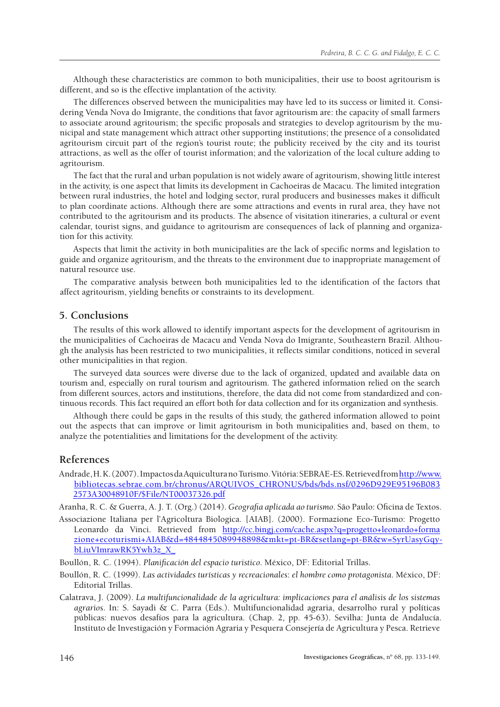Although these characteristics are common to both municipalities, their use to boost agritourism is different, and so is the effective implantation of the activity.

The differences observed between the municipalities may have led to its success or limited it. Considering Venda Nova do Imigrante, the conditions that favor agritourism are: the capacity of small farmers to associate around agritourism; the specific proposals and strategies to develop agritourism by the municipal and state management which attract other supporting institutions; the presence of a consolidated agritourism circuit part of the region's tourist route; the publicity received by the city and its tourist attractions, as well as the offer of tourist information; and the valorization of the local culture adding to agritourism.

The fact that the rural and urban population is not widely aware of agritourism, showing little interest in the activity, is one aspect that limits its development in Cachoeiras de Macacu. The limited integration between rural industries, the hotel and lodging sector, rural producers and businesses makes it difficult to plan coordinate actions. Although there are some attractions and events in rural area, they have not contributed to the agritourism and its products. The absence of visitation itineraries, a cultural or event calendar, tourist signs, and guidance to agritourism are consequences of lack of planning and organization for this activity.

Aspects that limit the activity in both municipalities are the lack of specific norms and legislation to guide and organize agritourism, and the threats to the environment due to inappropriate management of natural resource use.

The comparative analysis between both municipalities led to the identification of the factors that affect agritourism, yielding benefits or constraints to its development.

# **5. Conclusions**

The results of this work allowed to identify important aspects for the development of agritourism in the municipalities of Cachoeiras de Macacu and Venda Nova do Imigrante, Southeastern Brazil. Although the analysis has been restricted to two municipalities, it reflects similar conditions, noticed in several other municipalities in that region.

The surveyed data sources were diverse due to the lack of organized, updated and available data on tourism and, especially on rural tourism and agritourism. The gathered information relied on the search from different sources, actors and institutions, therefore, the data did not come from standardized and continuous records. This fact required an effort both for data collection and for its organization and synthesis.

Although there could be gaps in the results of this study, the gathered information allowed to point out the aspects that can improve or limit agritourism in both municipalities and, based on them, to analyze the potentialities and limitations for the development of the activity.

# **References**

Andrade, H. K. (2007). Impactos da Aquicultura no Turismo.Vitória: SEBRAE-ES. Retrieved from [http://www.](http://www.bibliotecas.sebrae.com.br/chronus/ARQUIVOS_CHRONUS/bds/bds.nsf/0296D929E95196B0832573A30048910F/$File/NT00037326.pdf) [bibliotecas.sebrae.com.br/chronus/ARQUIVOS\\_CHRONUS/bds/bds.nsf/0296D929E95196B083](http://www.bibliotecas.sebrae.com.br/chronus/ARQUIVOS_CHRONUS/bds/bds.nsf/0296D929E95196B0832573A30048910F/$File/NT00037326.pdf) [2573A30048910F/\\$File/NT00037326.pdf](http://www.bibliotecas.sebrae.com.br/chronus/ARQUIVOS_CHRONUS/bds/bds.nsf/0296D929E95196B0832573A30048910F/$File/NT00037326.pdf)

Aranha, R. C. & Guerra, A. J. T. (Org.) (2014). *Geografia aplicada ao turismo*. São Paulo: Oficina de Textos.

- Associazione Italiana per l'Agricoltura Biologica. [AIAB]. (2000). Formazione Eco-Turismo: Progetto Leonardo da Vinci. Retrieved from [http://cc.bingj.com/cache.aspx?q=progetto+leonardo+forma](http://cc.bingj.com/cache.aspx?q=progetto+leonardo+formazione+ecoturismi+AIAB&d=4844845089948898&mkt=pt-BR&setlang=pt-BR&w=SyrUasyGqy-bLiuVImrawRK5Ywh3z_X_) [zione+ecoturismi+AIAB&d=4844845089948898&mkt=pt-BR&setlang=pt-BR&w=SyrUasyGqy](http://cc.bingj.com/cache.aspx?q=progetto+leonardo+formazione+ecoturismi+AIAB&d=4844845089948898&mkt=pt-BR&setlang=pt-BR&w=SyrUasyGqy-bLiuVImrawRK5Ywh3z_X_)[bLiuVImrawRK5Ywh3z\\_X\\_](http://cc.bingj.com/cache.aspx?q=progetto+leonardo+formazione+ecoturismi+AIAB&d=4844845089948898&mkt=pt-BR&setlang=pt-BR&w=SyrUasyGqy-bLiuVImrawRK5Ywh3z_X_)
- Boullón, R. C. (1994). *Planificación del espacio turistico*. México, DF: Editorial Trillas.
- Boullón, R. C. (1999). *Las actividades turísticas y recreacionales*: *el hombre como protagonista*. México, DF: Editorial Trillas.
- Calatrava, J. (2009). *La multifuncionalidade de la agricultura: implicaciones para el análisis de los sistemas agrarios*. In: S. Sayadi & C. Parra (Eds.). Multifuncionalidad agraria, desarrolho rural y políticas públicas: nuevos desafíos para la agricultura. (Chap. 2, pp. 45-63). Sevilha: Junta de Andalucía. Instituto de Investigación y Formación Agraria y Pesquera Consejería de Agricultura y Pesca. Retrieve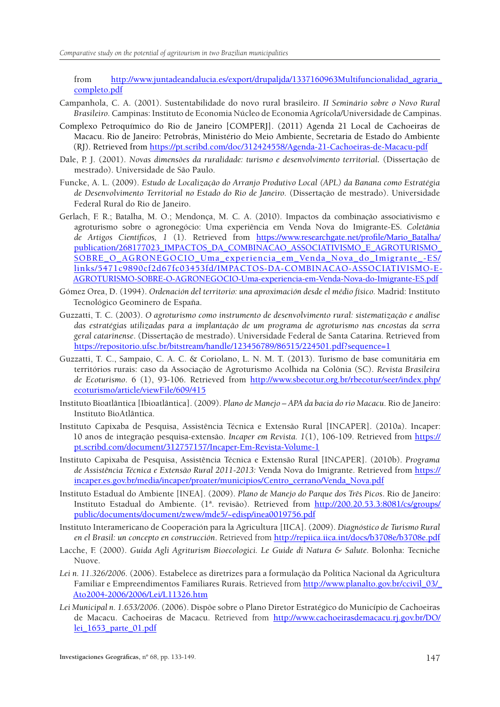from [http://www.juntadeandalucia.es/export/drupaljda/1337160963Multifuncionalidad\\_agraria\\_](http://www.juntadeandalucia.es/export/drupaljda/1337160963Multifuncionalidad_agraria_completo.pdf) [completo.pdf](http://www.juntadeandalucia.es/export/drupaljda/1337160963Multifuncionalidad_agraria_completo.pdf)

- Campanhola, C. A. (2001). Sustentabilidade do novo rural brasileiro. *II Seminário sobre o Novo Rural Brasileiro.* Campinas: Instituto de Economia Núcleo de Economia Agrícola/Universidade de Campinas.
- Complexo Petroquímico do Rio de Janeiro [COMPERJ]. (2011) Agenda 21 Local de Cachoeiras de Macacu. Rio de Janeiro: Petrobrás, Ministério do Meio Ambiente, Secretaria de Estado do Ambiente (RJ). Retrieved from <https://pt.scribd.com/doc/312424558/Agenda-21-Cachoeiras-de-Macacu-pdf>
- Dale, P. J. (2001). *Novas dimensões da ruralidade: turismo e desenvolvimento territorial.* (Dissertação de mestrado). Universidade de São Paulo.
- Funcke, A. L. (2009). *Estudo de Localização do Arranjo Produtivo Local (APL) da Banana como Estratégia de Desenvolvimento Territorial no Estado do Rio de Janeiro.* (Dissertação de mestrado). Universidade Federal Rural do Rio de Janeiro.
- Gerlach, F. R.; Batalha, M. O.; Mendonça, M. C. A. (2010). Impactos da combinação associativismo e agroturismo sobre o agronegócio: Uma experiência em Venda Nova do Imigrante-ES. *Coletânia de Artigos Científicos, 1* (1). Retrieved from [https://www.researchgate.net/profile/Mario\\_Batalha/](https://www.researchgate.net/profile/Mario_Batalha/publication/268177023_IMPACTOS_DA_COMBINACAO_ASSOCIATIVISMO_E_AGROTURISMO_SOBRE_O_AGRONEGOCIO_Uma_experiencia_em_Venda_Nova_do_Imigrante_-ES/links/5471c9890cf2d67fc03453fd/IMPACTOS-DA-COMBINACAO-ASSOCIATIVISMO-E-AGROTURISMO-SOBRE-O-AGRONEGOCIO-Uma-experiencia-em-Venda-Nova-do-Imigrante-ES.pdf) [publication/268177023\\_IMPACTOS\\_DA\\_COMBINACAO\\_ASSOCIATIVISMO\\_E\\_AGROTURISMO\\_](https://www.researchgate.net/profile/Mario_Batalha/publication/268177023_IMPACTOS_DA_COMBINACAO_ASSOCIATIVISMO_E_AGROTURISMO_SOBRE_O_AGRONEGOCIO_Uma_experiencia_em_Venda_Nova_do_Imigrante_-ES/links/5471c9890cf2d67fc03453fd/IMPACTOS-DA-COMBINACAO-ASSOCIATIVISMO-E-AGROTURISMO-SOBRE-O-AGRONEGOCIO-Uma-experiencia-em-Venda-Nova-do-Imigrante-ES.pdf) [SOBRE\\_O\\_AGRONEGOCIO\\_Uma\\_experiencia\\_em\\_Venda\\_Nova\\_do\\_Imigrante\\_-ES/](https://www.researchgate.net/profile/Mario_Batalha/publication/268177023_IMPACTOS_DA_COMBINACAO_ASSOCIATIVISMO_E_AGROTURISMO_SOBRE_O_AGRONEGOCIO_Uma_experiencia_em_Venda_Nova_do_Imigrante_-ES/links/5471c9890cf2d67fc03453fd/IMPACTOS-DA-COMBINACAO-ASSOCIATIVISMO-E-AGROTURISMO-SOBRE-O-AGRONEGOCIO-Uma-experiencia-em-Venda-Nova-do-Imigrante-ES.pdf) [links/5471c9890cf2d67fc03453fd/IMPACTOS-DA-COMBINACAO-ASSOCIATIVISMO-E-](https://www.researchgate.net/profile/Mario_Batalha/publication/268177023_IMPACTOS_DA_COMBINACAO_ASSOCIATIVISMO_E_AGROTURISMO_SOBRE_O_AGRONEGOCIO_Uma_experiencia_em_Venda_Nova_do_Imigrante_-ES/links/5471c9890cf2d67fc03453fd/IMPACTOS-DA-COMBINACAO-ASSOCIATIVISMO-E-AGROTURISMO-SOBRE-O-AGRONEGOCIO-Uma-experiencia-em-Venda-Nova-do-Imigrante-ES.pdf)[AGROTURISMO-SOBRE-O-AGRONEGOCIO-Uma-experiencia-em-Venda-Nova-do-Imigrante-ES.pdf](https://www.researchgate.net/profile/Mario_Batalha/publication/268177023_IMPACTOS_DA_COMBINACAO_ASSOCIATIVISMO_E_AGROTURISMO_SOBRE_O_AGRONEGOCIO_Uma_experiencia_em_Venda_Nova_do_Imigrante_-ES/links/5471c9890cf2d67fc03453fd/IMPACTOS-DA-COMBINACAO-ASSOCIATIVISMO-E-AGROTURISMO-SOBRE-O-AGRONEGOCIO-Uma-experiencia-em-Venda-Nova-do-Imigrante-ES.pdf)
- Gómez Orea, D. (1994). *Ordenación del territorio: una aproximación desde el médio físico.* Madrid: Instituto Tecnológico Geominero de España.
- Guzzatti, T. C. (2003). *O agroturismo como instrumento de desenvolvimento rural: sistematização e análise das estratégias utilizadas para a implantação de um programa de agroturismo nas encostas da serra geral catarinense*. (Dissertação de mestrado). Universidade Federal de Santa Catarina. Retrieved from <https://repositorio.ufsc.br/bitstream/handle/123456789/86515/224501.pdf?sequence=1>
- Guzzatti, T. C., Sampaio, C. A. C. & Coriolano, L. N. M. T. (2013). Turismo de base comunitária em territórios rurais: caso da Associação de Agroturismo Acolhida na Colônia (SC). *Revista Brasileira de Ecoturismo*. 6 (1), 93-106. Retrieved from [http://www.sbecotur.org.br/rbecotur/seer/index.php/](http://www.sbecotur.org.br/rbecotur/seer/index.php/ecoturismo/article/viewFile/609/415) [ecoturismo/article/viewFile/609/415](http://www.sbecotur.org.br/rbecotur/seer/index.php/ecoturismo/article/viewFile/609/415)
- Instituto Bioatlântica [Ibioatlântica]. (2009). *Plano de Manejo APA da bacia do rio Macacu*. Rio de Janeiro: Instituto BioAtlântica.
- Instituto Capixaba de Pesquisa, Assistência Técnica e Extensão Rural [INCAPER]. (2010a). Incaper: 10 anos de integração pesquisa-extensão. *Incaper em Revista. 1*(1), 106-109. Retrieved from [https://](https://pt.scribd.com/document/312757157/Incaper-Em-Revista-Volume-1) [pt.scribd.com/document/312757157/Incaper-Em-Revista-Volume-1](https://pt.scribd.com/document/312757157/Incaper-Em-Revista-Volume-1)
- Instituto Capixaba de Pesquisa, Assistência Técnica e Extensão Rural [INCAPER]. (2010b). *Programa de Assistência Técnica e Extensão Rural 2011-2013:* Venda Nova do Imigrante. Retrieved from [https://](https://incaper.es.gov.br/media/incaper/proater/municipios/Centro_cerrano/Venda_Nova.pdf) [incaper.es.gov.br/media/incaper/proater/municipios/Centro\\_cerrano/Venda\\_Nova.pdf](https://incaper.es.gov.br/media/incaper/proater/municipios/Centro_cerrano/Venda_Nova.pdf)
- Instituto Estadual do Ambiente [INEA]. (2009). *Plano de Manejo do Parque dos Três Picos*. Rio de Janeiro: Instituto Estadual do Ambiente. (1ª. revisão). Retrieved from [http://200.20.53.3:8081/cs/groups/](http://200.20.53.3:8081/cs/groups/public/documents/document/zwew/mde5/~edisp/inea0019756.pdf) [public/documents/document/zwew/mde5/~edisp/inea0019756.pdf](http://200.20.53.3:8081/cs/groups/public/documents/document/zwew/mde5/~edisp/inea0019756.pdf)
- Instituto Interamericano de Cooperación para la Agricultura [IICA]. (2009). *Diagnóstico de Turismo Rural en el Brasil: un concepto en construcción*. Retrieved from <http://repiica.iica.int/docs/b3708e/b3708e.pdf>
- Lacche, F. (2000). *Guida Agli Agriturism Bioecologici. Le Guide di Natura & Salute. Bolonha: Tecniche* Nuove.
- *Lei n. 11.326/2006*. (2006). Estabelece as diretrizes para a formulação da Política Nacional da Agricultura Familiar e Empreendimentos Familiares Rurais. Retrieved from [http://www.planalto.gov.br/ccivil\\_03/\\_](http://www.planalto.gov.br/ccivil_03/_Ato2004-2006/2006/Lei/L11326.htm) [Ato2004-2006/2006/Lei/L11326.htm](http://www.planalto.gov.br/ccivil_03/_Ato2004-2006/2006/Lei/L11326.htm)
- *Lei Municipal n. 1.653/2006*. (2006). Dispõe sobre o Plano Diretor Estratégico do Município de Cachoeiras de Macacu. Cachoeiras de Macacu. Retrieved from [http://www.cachoeirasdemacacu.rj.gov.br/DO/](http://www.cachoeirasdemacacu.rj.gov.br/DO/lei_1653_parte_01.pdf) [lei\\_1653\\_parte\\_01.pdf](http://www.cachoeirasdemacacu.rj.gov.br/DO/lei_1653_parte_01.pdf)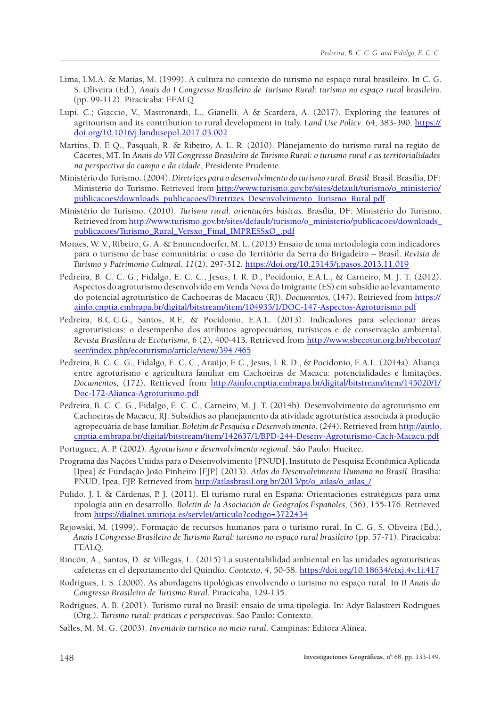- Lima, I.M.A. & Matias, M. (1999). A cultura no contexto do turismo no espaço rural brasileiro. In C. G. S. Oliveira (Ed.), *Anais do I Congresso Brasileiro de Turismo Rural: turismo no espaço rural brasileiro.* (pp. 99-112). Piracicaba: FEALQ.
- Lupi, C.; Giaccio, V., Mastronardi, L., Gianelli, A & Scardera, A. (2017). Exploring the features of agritourism and its contribution to rural development in Italy. *Land Use Policy*. 64, 383-390. [https://](https://doi.org/10.1016/j.landusepol.2017.03.002) [doi.org/10.1016/j.landusepol.2017.03.002](https://doi.org/10.1016/j.landusepol.2017.03.002)
- Martins, D. F. Q., Pasquali, R. & Ribeiro, A. L. R. (2010). Planejamento do turismo rural na região de Cáceres, MT. In *Anais do VII Congresso Brasileiro de Turismo Rural: o turismo rural e as territorialidades na perspectiva do campo e da cidade*, Presidente Prudente.
- Ministério do Turismo. (2004). *Diretrizes para o desenvolvimento do turismo rural: Brasil.* Brasil. Brasília, DF: Ministério do Turismo. Retrieved from [http://www.turismo.gov.br/sites/default/turismo/o\\_ministerio/](http://www.turismo.gov.br/sites/default/turismo/o_ministerio/publicacoes/downloads_publicacoes/Diretrizes_Desenvolvimento_Turismo_Rural.pdf) [publicacoes/downloads\\_publicacoes/Diretrizes\\_Desenvolvimento\\_Turismo\\_Rural.pdf](http://www.turismo.gov.br/sites/default/turismo/o_ministerio/publicacoes/downloads_publicacoes/Diretrizes_Desenvolvimento_Turismo_Rural.pdf)
- Ministério do Turismo. (2010). *Turismo rural: orientações básicas*. Brasília, DF: Ministério do Turismo. Retrieved from [http://www.turismo.gov.br/sites/default/turismo/o\\_ministerio/publicacoes/downloads\\_](http://www.turismo.gov.br/sites/default/turismo/o_ministerio/publicacoes/downloads_publicacoes/Turismo_Rural_Versxo_Final_IMPRESSxO_.pdf) [publicacoes/Turismo\\_Rural\\_Versxo\\_Final\\_IMPRESSxO\\_.pdf](http://www.turismo.gov.br/sites/default/turismo/o_ministerio/publicacoes/downloads_publicacoes/Turismo_Rural_Versxo_Final_IMPRESSxO_.pdf)
- Moraes, W. V., Ribeiro, G. A. & Emmendoerfer, M. L. (2013) Ensaio de uma metodologia com indicadores para o turismo de base comunitária: o caso do Território da Serra do Brigadeiro – Brasil. *Revista de Turismo y Patrimonio Cultural*, *11*(2), 297-312. <https://doi.org/10.25145/j.pasos.2013.11.019>
- Pedreira, B. C. C. G., Fidalgo, E. C. C., Jesus, I. R. D., Pocidonio, E.A.L., & Carneiro, M. J. T. (2012). Aspectos do agroturismo desenvolvido em Venda Nova do Imigrante (ES) em subsídio ao levantamento do potencial agroturístico de Cachoeiras de Macacu (RJ). *Documentos,* (147). Retrieved from [https://](https://ainfo.cnptia.embrapa.br/digital/bitstream/item/104935/1/DOC-147-Aspectos-Agroturismo.pdf) [ainfo.cnptia.embrapa.br/digital/bitstream/item/104935/1/DOC-147-Aspectos-Agroturismo.pdf](https://ainfo.cnptia.embrapa.br/digital/bitstream/item/104935/1/DOC-147-Aspectos-Agroturismo.pdf)
- Pedreira, B.C.C.G., Santos, R.F., & Pocidonio, E.A.L. (2013). Indicadores para selecionar áreas agroturísticas: o desempenho dos atributos agropecuários, turísticos e de conservação ambiental. *Revista Brasileira de Ecoturismo*, *6* (2), 400-413. Retrieved from [http://www.sbecotur.org.br/rbecotur/](http://www.sbecotur.org.br/rbecotur/seer/index.php/ecoturismo/article/view/394%20/465) [seer/index.php/ecoturismo/article/view/394 /465](http://www.sbecotur.org.br/rbecotur/seer/index.php/ecoturismo/article/view/394%20/465)
- Pedreira, B. C. C. G., Fidalgo, E. C. C., Araújo, F. C., Jesus, I. R. D., & Pocidonio, E.A.L. (2014a). Aliança entre agroturismo e agricultura familiar em Cachoeiras de Macacu: potencialidades e limitações. *Documentos,* (172). Retrieved from [http://ainfo.cnptia.embrapa.br/digital/bitstream/item/145020/1/](http://ainfo.cnptia.embrapa.br/digital/bitstream/item/145020/1/Doc-172-Alianca-Agroturismo.pdf) [Doc-172-Alianca-Agroturismo.pdf](http://ainfo.cnptia.embrapa.br/digital/bitstream/item/145020/1/Doc-172-Alianca-Agroturismo.pdf)
- Pedreira, B. C. C. G., Fidalgo, E. C. C., Carneiro, M. J. T. (2014b). Desenvolvimento do agroturismo em Cachoeiras de Macacu, RJ: Subsídios ao planejamento da atividade agroturística associada à produção agropecuária de base familiar. *Boletim de Pesquisa e Desenvolvimento*, (*244*). Retrieved from [http://ainfo.](http://ainfo.cnptia.embrapa.br/digital/bitstream/item/142637/1/BPD-244-Desenv-Agroturismo-Cach-Macacu.pdf) [cnptia.embrapa.br/digital/bitstream/item/142637/1/BPD-244-Desenv-Agroturismo-Cach-Macacu.pdf](http://ainfo.cnptia.embrapa.br/digital/bitstream/item/142637/1/BPD-244-Desenv-Agroturismo-Cach-Macacu.pdf)
- Portuguez, A. P. (2002). *Agroturismo e desenvolvimento regional*. São Paulo: Hucitec.
- Programa das Nações Unidas para o Desenvolvimento [PNUD], Instituto de Pesquisa Econômica Aplicada [Ipea] & Fundação João Pinheiro [FJP] (2013). *Atlas do Desenvolvimento Humano no Brasil*. Brasília: PNUD, Ipea, FJP. Retrieved from [http://atlasbrasil.org.br/2013/pt/o\\_atlas/o\\_atlas\\_/](http://atlasbrasil.org.br/2013/pt/o_atlas/o_atlas_/)
- Pulido, J. I. & Cárdenas, P. J. (2011). El turismo rural en España: Orientaciones estratégicas para uma tipología aún en desarrollo. *Boletín de la Asociación de Geógrafos Españoles,* (56), 155-176. Retrieved from <https://dialnet.unirioja.es/servlet/articulo?codigo=3722434>
- Rejowski, M. (1999). Formação de recursos humanos para o turismo rural. In C. G. S. Oliveira (Ed.), *Anais I Congresso Brasileiro de Turismo Rural: turismo no espaço rural brasileiro* (pp. 57-71). Piracicaba: FEALQ.
- Rincón, A., Santos, D. & Villegas, L. (2015) La sustentabilidad ambiental en las unidades agroturísticas cafeteras en el departamento del Quindío. *Contexto*, *4*, 50-58. <https://doi.org/10.18634/ctxj.4v.1i.417>
- Rodrigues, I. S. (2000). As abordagens tipológicas envolvendo o turismo no espaço rural. In *II Anais do Congresso Brasileiro de Turismo Rural.* Piracicaba, 129-135.
- Rodrigues, A. B. (2001). Turismo rural no Brasil: ensaio de uma tipologia. In: Adyr Balastreri Rodrigues (Org.). *Turismo rural: práticas e perspectivas*. São Paulo: Contexto.
- Salles, M. M. G. (2003). *Inventário turístico no meio rural*. Campinas: Editora Alínea.